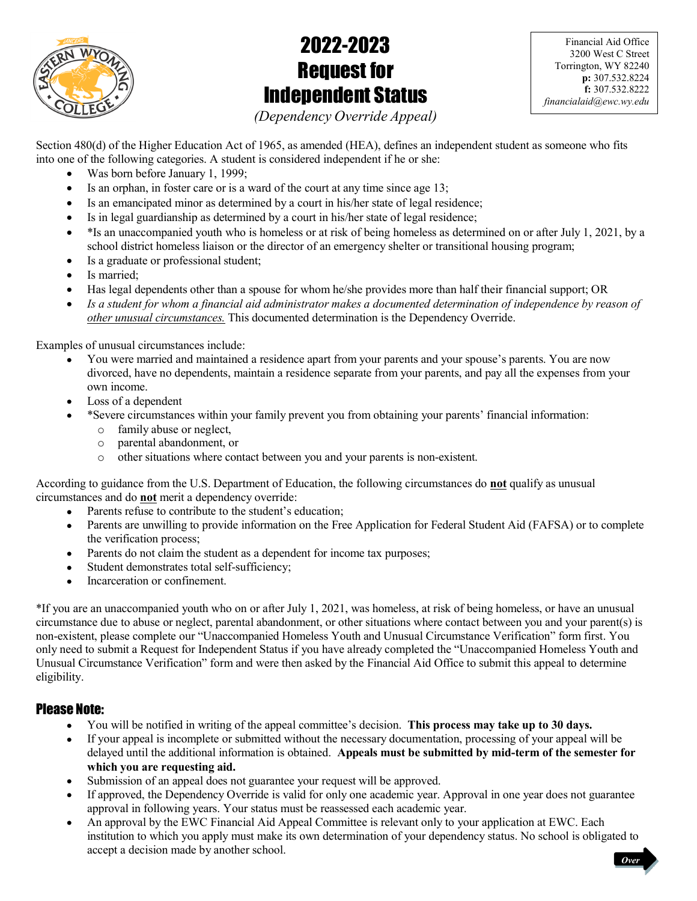

# 2022-2023 Request for Independent Status

Financial Aid Office 3200 West C Street Torrington, WY 82240 p: 307.532.8224 f: 307.532.8222 financialaid@ewc.wy.edu

(Dependency Override Appeal)

Section 480(d) of the Higher Education Act of 1965, as amended (HEA), defines an independent student as someone who fits into one of the following categories. A student is considered independent if he or she:

- Was born before January 1, 1999;
- $\bullet$  Is an orphan, in foster care or is a ward of the court at any time since age 13;
- Is an emancipated minor as determined by a court in his/her state of legal residence;
- Is in legal guardianship as determined by a court in his/her state of legal residence;
- $\bullet$  \*Is an unaccompanied youth who is homeless or at risk of being homeless as determined on or after July 1, 2021, by a school district homeless liaison or the director of an emergency shelter or transitional housing program;
- Is a graduate or professional student;
- Is married;
- Has legal dependents other than a spouse for whom he/she provides more than half their financial support; OR
- Is a student for whom a financial aid administrator makes a documented determination of independence by reason of other unusual circumstances. This documented determination is the Dependency Override.

Examples of unusual circumstances include:

- You were married and maintained a residence apart from your parents and your spouse's parents. You are now divorced, have no dependents, maintain a residence separate from your parents, and pay all the expenses from your own income.
- Loss of a dependent
- \*Severe circumstances within your family prevent you from obtaining your parents' financial information:
	- o family abuse or neglect,
	- o parental abandonment, or
	- o other situations where contact between you and your parents is non-existent.

According to guidance from the U.S. Department of Education, the following circumstances do not qualify as unusual circumstances and do not merit a dependency override:

- Parents refuse to contribute to the student's education;
- Parents are unwilling to provide information on the Free Application for Federal Student Aid (FAFSA) or to complete the verification process;
- Parents do not claim the student as a dependent for income tax purposes;
- Student demonstrates total self-sufficiency;
- Incarceration or confinement.

\*If you are an unaccompanied youth who on or after July 1, 2021, was homeless, at risk of being homeless, or have an unusual circumstance due to abuse or neglect, parental abandonment, or other situations where contact between you and your parent(s) is non-existent, please complete our "Unaccompanied Homeless Youth and Unusual Circumstance Verification" form first. You only need to submit a Request for Independent Status if you have already completed the "Unaccompanied Homeless Youth and Unusual Circumstance Verification" form and were then asked by the Financial Aid Office to submit this appeal to determine eligibility.

# Please Note:

- You will be notified in writing of the appeal committee's decision. This process may take up to 30 days.
- If your appeal is incomplete or submitted without the necessary documentation, processing of your appeal will be delayed until the additional information is obtained. Appeals must be submitted by mid-term of the semester for which you are requesting aid.
- Submission of an appeal does not guarantee your request will be approved.
- If approved, the Dependency Override is valid for only one academic year. Approval in one year does not guarantee approval in following years. Your status must be reassessed each academic year.
- An approval by the EWC Financial Aid Appeal Committee is relevant only to your application at EWC. Each institution to which you apply must make its own determination of your dependency status. No school is obligated to accept a decision made by another school.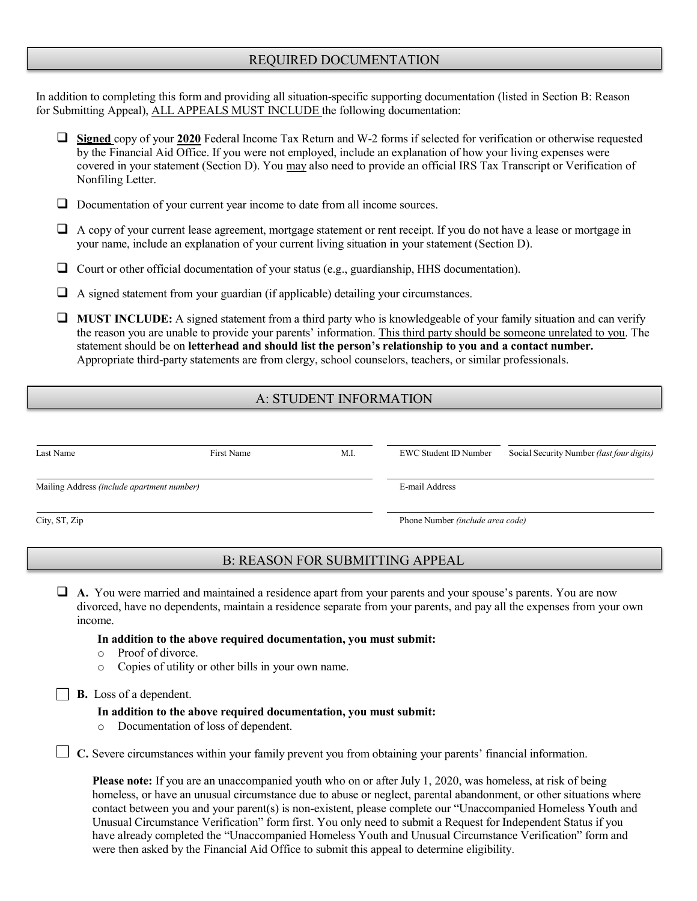## REQUIRED DOCUMENTATION

In addition to completing this form and providing all situation-specific supporting documentation (listed in Section B: Reason for Submitting Appeal), ALL APPEALS MUST INCLUDE the following documentation:

- Signed copy of your 2020 Federal Income Tax Return and W-2 forms if selected for verification or otherwise requested by the Financial Aid Office. If you were not employed, include an explanation of how your living expenses were covered in your statement (Section D). You may also need to provide an official IRS Tax Transcript or Verification of Nonfiling Letter.
- Documentation of your current year income to date from all income sources.
- A copy of your current lease agreement, mortgage statement or rent receipt. If you do not have a lease or mortgage in your name, include an explanation of your current living situation in your statement (Section D).
- $\Box$  Court or other official documentation of your status (e.g., guardianship, HHS documentation).
- $\Box$  A signed statement from your guardian (if applicable) detailing your circumstances.
- $\Box$  MUST INCLUDE: A signed statement from a third party who is knowledgeable of your family situation and can verify the reason you are unable to provide your parents' information. This third party should be someone unrelated to you. The statement should be on letterhead and should list the person's relationship to you and a contact number. Appropriate third-party statements are from clergy, school counselors, teachers, or similar professionals.

# A: STUDENT INFORMATION

| Last Name                                  | First Name | M.I. | EWC Student ID Number            | Social Security Number (last four digits) |
|--------------------------------------------|------------|------|----------------------------------|-------------------------------------------|
| Mailing Address (include apartment number) |            |      | E-mail Address                   |                                           |
| City, ST, Zip                              |            |      | Phone Number (include area code) |                                           |

## B: REASON FOR SUBMITTING APPEAL

 A. You were married and maintained a residence apart from your parents and your spouse's parents. You are now divorced, have no dependents, maintain a residence separate from your parents, and pay all the expenses from your own income.

#### In addition to the above required documentation, you must submit:

- o Proof of divorce.
- o Copies of utility or other bills in your own name.

**B.** Loss of a dependent.

#### In addition to the above required documentation, you must submit:

o Documentation of loss of dependent.

 $\Box$  C. Severe circumstances within your family prevent you from obtaining your parents' financial information.

Please note: If you are an unaccompanied youth who on or after July 1, 2020, was homeless, at risk of being homeless, or have an unusual circumstance due to abuse or neglect, parental abandonment, or other situations where contact between you and your parent(s) is non-existent, please complete our "Unaccompanied Homeless Youth and Unusual Circumstance Verification" form first. You only need to submit a Request for Independent Status if you have already completed the "Unaccompanied Homeless Youth and Unusual Circumstance Verification" form and were then asked by the Financial Aid Office to submit this appeal to determine eligibility.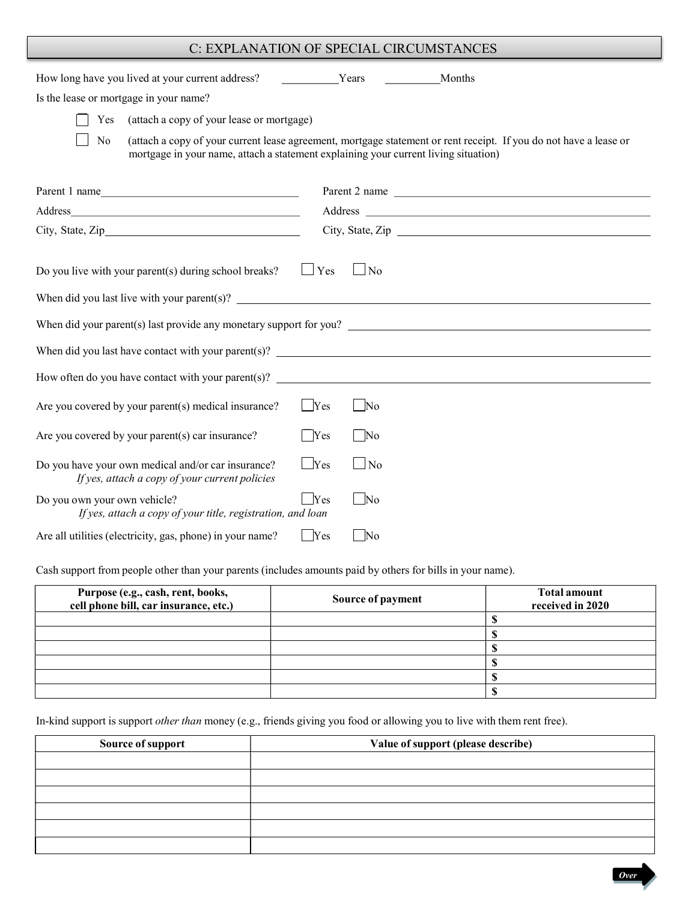# C: EXPLANATION OF SPECIAL CIRCUMSTANCES

| How long have you lived at your current address?                                                     | Years         |                   | Months                                                                                                            |
|------------------------------------------------------------------------------------------------------|---------------|-------------------|-------------------------------------------------------------------------------------------------------------------|
| Is the lease or mortgage in your name?                                                               |               |                   |                                                                                                                   |
| (attach a copy of your lease or mortgage)<br>Yes                                                     |               |                   |                                                                                                                   |
| No<br>mortgage in your name, attach a statement explaining your current living situation)            |               |                   | (attach a copy of your current lease agreement, mortgage statement or rent receipt. If you do not have a lease or |
| Parent 1 name                                                                                        |               |                   | Parent 2 name                                                                                                     |
|                                                                                                      |               |                   |                                                                                                                   |
|                                                                                                      |               |                   | City, State, Zip                                                                                                  |
| Do you live with your parent(s) during school breaks?                                                | $\Box$ Yes    | $\Box$ No         |                                                                                                                   |
| When did your parent(s) last provide any monetary support for you? $\Box$                            |               |                   |                                                                                                                   |
|                                                                                                      |               |                   |                                                                                                                   |
|                                                                                                      |               |                   |                                                                                                                   |
| Are you covered by your parent(s) medical insurance?                                                 | $\Box$ Yes    | No                |                                                                                                                   |
| Are you covered by your parent(s) car insurance?                                                     | $\bigcap$ Yes | $\Box$ No         |                                                                                                                   |
| Do you have your own medical and/or car insurance?<br>If yes, attach a copy of your current policies | $\Box$ Yes    | $\Box$ No         |                                                                                                                   |
| Do you own your own vehicle?<br>If yes, attach a copy of your title, registration, and loan          | Yes           | $\Box$ No         |                                                                                                                   |
| Are all utilities (electricity, gas, phone) in your name?                                            | Yes           | $\blacksquare$ No |                                                                                                                   |

Cash support from people other than your parents (includes amounts paid by others for bills in your name).

| Purpose (e.g., cash, rent, books,<br>cell phone bill, car insurance, etc.) | Source of payment | <b>Total amount</b><br>received in 2020 |
|----------------------------------------------------------------------------|-------------------|-----------------------------------------|
|                                                                            |                   |                                         |
|                                                                            |                   |                                         |
|                                                                            |                   |                                         |
|                                                                            |                   |                                         |
|                                                                            |                   |                                         |
|                                                                            |                   |                                         |

In-kind support is support other than money (e.g., friends giving you food or allowing you to live with them rent free).

| Source of support | Value of support (please describe) |
|-------------------|------------------------------------|
|                   |                                    |
|                   |                                    |
|                   |                                    |
|                   |                                    |
|                   |                                    |
|                   |                                    |

**Over**